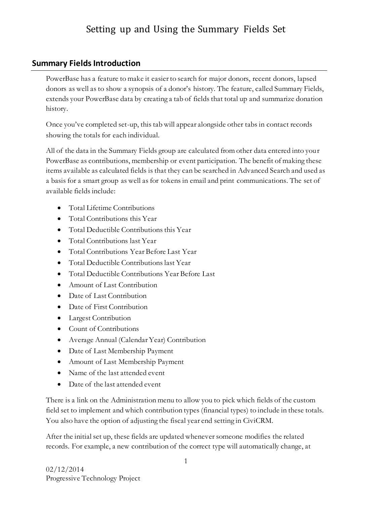## **Summary Fields Introduction**

PowerBase has a feature to make it easier to search for major donors, recent donors, lapsed donors as well as to show a synopsis of a donor's history. The feature, called Summary Fields, extends your PowerBase data by creating a tab of fields that total up and summarize donation history.

Once you've completed set-up, this tab will appear alongside other tabs in contact records showing the totals for each individual.

All of the data in the Summary Fields group are calculated from other data entered into your PowerBase as contributions, membership or event participation. The benefit of making these items available as calculated fields is that they can be searched in Advanced Search and used as a basis for a smart group as well as for tokens in email and print communications. The set of available fields include:

- Total Lifetime Contributions
- Total Contributions this Year
- Total Deductible Contributions this Year
- Total Contributions last Year
- Total Contributions Year Before Last Year
- Total Deductible Contributions last Year
- Total Deductible Contributions Year Before Last
- Amount of Last Contribution
- Date of Last Contribution
- Date of First Contribution
- Largest Contribution
- Count of Contributions
- Average Annual (Calendar Year) Contribution
- Date of Last Membership Payment
- Amount of Last Membership Payment
- Name of the last attended event
- Date of the last attended event

There is a link on the Administration menu to allow you to pick which fields of the custom field set to implement and which contribution types (financial types) to include in these totals. You also have the option of adjusting the fiscal year end setting in CiviCRM.

After the initial set up, these fields are updated whenever someone modifies the related records. For example, a new contribution of the correct type will automatically change, at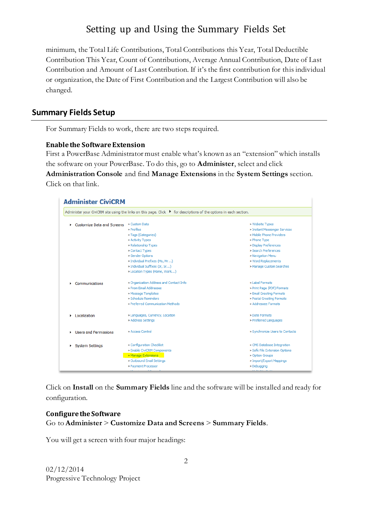minimum, the Total Life Contributions, Total Contributions this Year, Total Deductible Contribution This Year, Count of Contributions, Average Annual Contribution, Date of Last Contribution and Amount of Last Contribution. If it's the first contribution for this individual or organization, the Date of First Contribution and the Largest Contribution will also be changed.

### **Summary Fields Setup**

For Summary Fields to work, there are two steps required.

### **Enable the Software Extension**

First a PowerBase Administrator must enable what's known as an "extension" which installs the software on your PowerBase. To do this, go to **Administer**, select and click **Administration Console** and find **Manage Extensions** in the **System Settings** section. Click on that link.

| <b>Administer CiviCRM</b>       |                                                                                                                     |                                   |  |  |  |  |  |
|---------------------------------|---------------------------------------------------------------------------------------------------------------------|-----------------------------------|--|--|--|--|--|
|                                 | Administer your CiviCRM site using the links on this page. Click ▶ for descriptions of the options in each section. |                                   |  |  |  |  |  |
| Customize Data and Screens<br>٠ | » Custom Data                                                                                                       | » Website Types                   |  |  |  |  |  |
|                                 | » Profiles                                                                                                          | » Instant Messenger Services      |  |  |  |  |  |
|                                 | » Tags (Categories)                                                                                                 | » Mobile Phone Providers          |  |  |  |  |  |
|                                 | » Activity Types                                                                                                    | » Phone Type                      |  |  |  |  |  |
|                                 | » Relationship Types                                                                                                | » Display Preferences             |  |  |  |  |  |
|                                 | » Contact Types                                                                                                     | » Search Preferences              |  |  |  |  |  |
|                                 | » Gender Options                                                                                                    | » Navigation Menu                 |  |  |  |  |  |
|                                 | » Individual Prefixes (Ms, Mr)                                                                                      | » Word Replacements               |  |  |  |  |  |
|                                 | » Individual Suffixes (Jr, Sr)                                                                                      | » Manage Custom Searches          |  |  |  |  |  |
|                                 | » Location Types (Home, Work)                                                                                       |                                   |  |  |  |  |  |
| Communications                  | » Organization Address and Contact Info                                                                             | » Label Formats                   |  |  |  |  |  |
|                                 | » From Fmail Addresses                                                                                              | » Print Page (PDF) Formats        |  |  |  |  |  |
|                                 | » Message Templates                                                                                                 | » Email Greeting Formats          |  |  |  |  |  |
|                                 | » Schedule Reminders                                                                                                | » Postal Greeting Formats         |  |  |  |  |  |
|                                 | » Preferred Communication Methods                                                                                   | » Addressee Formats               |  |  |  |  |  |
| Localization                    | » Languages, Currency, Location                                                                                     | » Date Formats                    |  |  |  |  |  |
|                                 | » Address Settings                                                                                                  | » Preferred Languages             |  |  |  |  |  |
| <b>Elsers and Permissions</b>   | » Access Control                                                                                                    | » Synchronize Users to Contacts   |  |  |  |  |  |
| ▶ System Settings               | » Configuration Checklist                                                                                           | » CMS Database Integration        |  |  |  |  |  |
|                                 | » Enable CiviCRM Components                                                                                         | » Safe File Extension Options     |  |  |  |  |  |
|                                 | » Manage Extensions                                                                                                 | » Option Groups                   |  |  |  |  |  |
|                                 | » Outbound Email Settings                                                                                           | » Import/Export Mappings          |  |  |  |  |  |
|                                 | » Payment Processor                                                                                                 | » Debugging                       |  |  |  |  |  |
|                                 |                                                                                                                     | <b>Continued for the American</b> |  |  |  |  |  |

Click on **Install** on the **Summary Fields** line and the software will be installed and ready for configuration.

#### **Configure the Software** Go to **Administer** > **Customize Data and Screens** > **Summary Fields**.

You will get a screen with four major headings: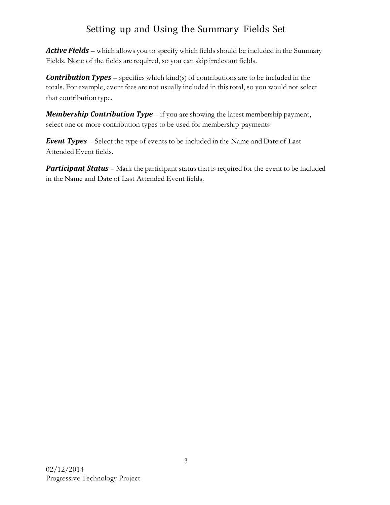*Active Fields* – which allows you to specify which fields should be included in the Summary Fields. None of the fields are required, so you can skip irrelevant fields.

*Contribution Types* – specifies which kind(s) of contributions are to be included in the totals. For example, event fees are not usually included in this total, so you would not select that contribution type.

*Membership Contribution Type* – if you are showing the latest membership payment, select one or more contribution types to be used for membership payments.

*Event Types* – Select the type of events to be included in the Name and Date of Last Attended Event fields.

**Participant Status** – Mark the participant status that is required for the event to be included in the Name and Date of Last Attended Event fields.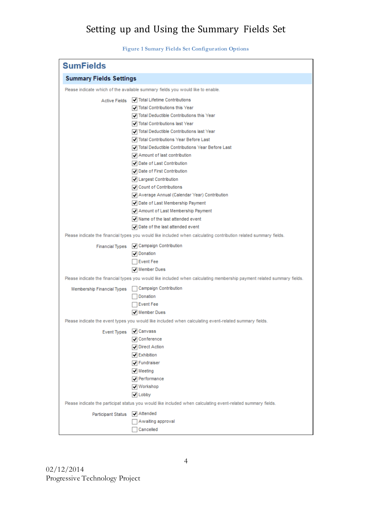|  |  |  | <b>Figure 1 Sumary Fields Set Configuration Options</b> |  |  |
|--|--|--|---------------------------------------------------------|--|--|
|--|--|--|---------------------------------------------------------|--|--|

| <b>SumFields</b>                                                                                       |                                                                                                                         |  |  |  |  |
|--------------------------------------------------------------------------------------------------------|-------------------------------------------------------------------------------------------------------------------------|--|--|--|--|
| <b>Summary Fields Settings</b>                                                                         |                                                                                                                         |  |  |  |  |
|                                                                                                        | Please indicate which of the available summary fields you would like to enable.                                         |  |  |  |  |
| <b>Active Fields</b>                                                                                   | Total Lifetime Contributions                                                                                            |  |  |  |  |
|                                                                                                        | Total Contributions this Year                                                                                           |  |  |  |  |
|                                                                                                        | Total Deductible Contributions this Year                                                                                |  |  |  |  |
|                                                                                                        | Total Contributions last Year                                                                                           |  |  |  |  |
|                                                                                                        | Total Deductible Contributions last Year                                                                                |  |  |  |  |
|                                                                                                        | Total Contributions Year Before Last                                                                                    |  |  |  |  |
|                                                                                                        | Total Deductible Contributions Year Before Last                                                                         |  |  |  |  |
|                                                                                                        | Amount of last contribution                                                                                             |  |  |  |  |
|                                                                                                        | Date of Last Contribution                                                                                               |  |  |  |  |
|                                                                                                        | Date of First Contribution                                                                                              |  |  |  |  |
|                                                                                                        | Largest Contribution                                                                                                    |  |  |  |  |
|                                                                                                        | Count of Contributions                                                                                                  |  |  |  |  |
|                                                                                                        | Average Annual (Calendar Year) Contribution                                                                             |  |  |  |  |
|                                                                                                        | Date of Last Membership Payment                                                                                         |  |  |  |  |
|                                                                                                        | Amount of Last Membership Payment                                                                                       |  |  |  |  |
|                                                                                                        | $\sqrt{}$ Name of the last attended event                                                                               |  |  |  |  |
|                                                                                                        | $\sqrt{}$ Date of the last attended event                                                                               |  |  |  |  |
|                                                                                                        | Please indicate the financial types you would like included when calculating contribution related summary fields.       |  |  |  |  |
|                                                                                                        | Financial Types V Campaign Contribution                                                                                 |  |  |  |  |
|                                                                                                        | √ Donation                                                                                                              |  |  |  |  |
|                                                                                                        | Event Fee                                                                                                               |  |  |  |  |
|                                                                                                        | Member Dues                                                                                                             |  |  |  |  |
|                                                                                                        | Please indicate the financial types you would like included when calculating membership payment related summary fields. |  |  |  |  |
| Membership Financial Types   Campaign Contribution                                                     |                                                                                                                         |  |  |  |  |
|                                                                                                        | Donation                                                                                                                |  |  |  |  |
|                                                                                                        | ∏ Event Fee                                                                                                             |  |  |  |  |
|                                                                                                        | √ Member Dues                                                                                                           |  |  |  |  |
| Please indicate the event types you would like included when calculating event-related summary fields. |                                                                                                                         |  |  |  |  |
| <b>Event Types</b>                                                                                     | √ Canvass                                                                                                               |  |  |  |  |
|                                                                                                        | $\sqrt{\phantom{a}}$ Conference                                                                                         |  |  |  |  |
|                                                                                                        | <b>√</b> Direct Action                                                                                                  |  |  |  |  |
|                                                                                                        | <b>V</b> Exhibition                                                                                                     |  |  |  |  |
|                                                                                                        | √ Fundraiser                                                                                                            |  |  |  |  |
|                                                                                                        | $\overline{\smash{\checkmark}}$ Meeting                                                                                 |  |  |  |  |
|                                                                                                        | $\sqrt{\phantom{a}}$ Performance                                                                                        |  |  |  |  |
|                                                                                                        | Vorkshop                                                                                                                |  |  |  |  |
|                                                                                                        | $\triangledown$ Lobby                                                                                                   |  |  |  |  |
|                                                                                                        | Please indicate the participat status you would like included when calculating event-related summary fields.            |  |  |  |  |
| Participant Status                                                                                     | $\sqrt{\phantom{a}}$ Attended                                                                                           |  |  |  |  |
|                                                                                                        | Awaiting approval                                                                                                       |  |  |  |  |
|                                                                                                        | Cancelled                                                                                                               |  |  |  |  |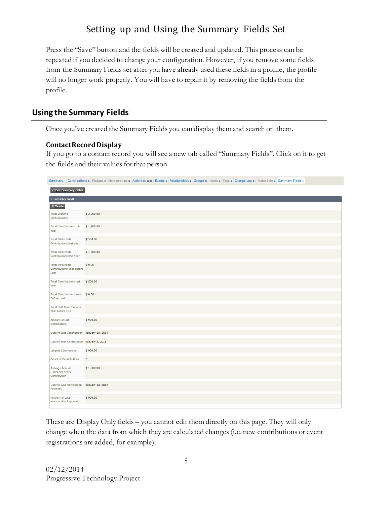Press the "Save" button and the fields will be created and updated. This process can be repeated if you decided to change your configuration. However, if you remove some fields from the Summary Fields set after you have already used these fields in a profile, the profile will no longer work properly. You will have to repair it by removing the fields from the profile.

## **Using the Summary Fields**

Once you've created the Summary Fields you can display them and search on them.

### **Contact Record Display**

If you go to a contact record you will see a new tab called "Summary Fields". Click on it to get the fields and their values for that person.

|                                                                     |                                     |                                            |  |  |  |  | Summary Contributions 6 Pledges o Memberships o Activities 1243 Events 9 Relationships 2 Groups 5 Notes o Tags o Change Log 14 Voter Info o Summary Fields 1 |  |
|---------------------------------------------------------------------|-------------------------------------|--------------------------------------------|--|--|--|--|--------------------------------------------------------------------------------------------------------------------------------------------------------------|--|
| Edit Summary Fields                                                 |                                     |                                            |  |  |  |  |                                                                                                                                                              |  |
| * Summary Fields                                                    |                                     |                                            |  |  |  |  |                                                                                                                                                              |  |
| <b><i><u>i</u></i></b> Delete                                       |                                     |                                            |  |  |  |  |                                                                                                                                                              |  |
| <b>Total Lifetime</b><br>Contributions                              |                                     | \$2,000.00                                 |  |  |  |  |                                                                                                                                                              |  |
| Year                                                                | Total Contributions this \$1,500.00 |                                            |  |  |  |  |                                                                                                                                                              |  |
| <b>Total Deductible</b><br>Contributions last Year                  |                                     | \$500.00                                   |  |  |  |  |                                                                                                                                                              |  |
| <b>Total Deductible</b><br>Contributions this Year                  |                                     | \$1,500.00                                 |  |  |  |  |                                                                                                                                                              |  |
| <b>Total Deductible</b><br><b>Contributions Year Before</b><br>Last |                                     | \$0.00                                     |  |  |  |  |                                                                                                                                                              |  |
| Year                                                                | Total Contributions last \$500.00   |                                            |  |  |  |  |                                                                                                                                                              |  |
| <b>Before Last</b>                                                  | Total Contributions Year \$ 0.00    |                                            |  |  |  |  |                                                                                                                                                              |  |
| <b>Total Soft Contributions</b><br>Year Before Last                 |                                     |                                            |  |  |  |  |                                                                                                                                                              |  |
| Amount of last<br>contribution                                      |                                     | \$900.00                                   |  |  |  |  |                                                                                                                                                              |  |
|                                                                     |                                     | Date of Last Contribution January 10, 2014 |  |  |  |  |                                                                                                                                                              |  |
|                                                                     |                                     | Date of First Contribution January 1, 2013 |  |  |  |  |                                                                                                                                                              |  |
| <b>Largest Contribution</b>                                         |                                     | \$900.00                                   |  |  |  |  |                                                                                                                                                              |  |
| <b>Count of Contributions</b>                                       |                                     | 6                                          |  |  |  |  |                                                                                                                                                              |  |
| Average Annual<br>(Calendar Year)<br>Contribution                   |                                     | \$1,000.00                                 |  |  |  |  |                                                                                                                                                              |  |
| Payment                                                             |                                     | Date of Last Membership January 10, 2014   |  |  |  |  |                                                                                                                                                              |  |
| Amount of Last<br>Membership Payment                                |                                     | \$900.00                                   |  |  |  |  |                                                                                                                                                              |  |

These are Display Only fields – you cannot edit them directly on this page. They will only change when the data from which they are calculated changes (i.e. new contributions or event registrations are added, for example).